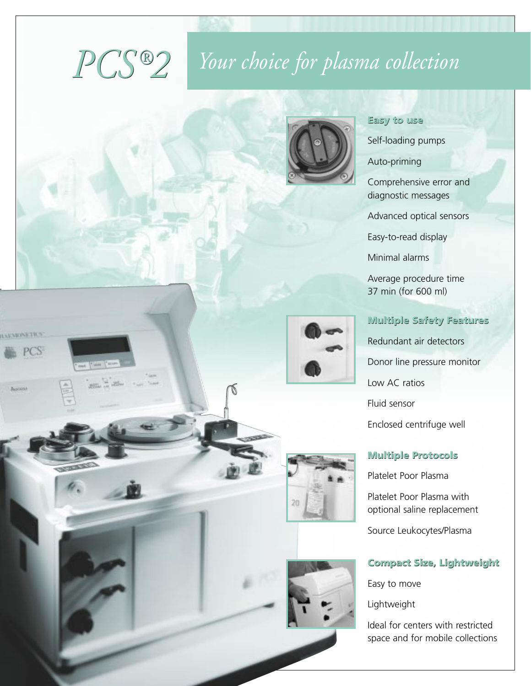# *Your choice for plasma collection PCS ® 2*



#### **Easy to use**

Self-loading pumps

Auto-priming

Comprehensive error and diagnostic messages

Advanced optical sensors

Easy-to-read display

Minimal alarms

Average procedure time 37 min (for 600 ml)

# **Multiple Safety Features** Redundant air detectors Donor line pressure monitor Low AC ratios Fluid sensor Enclosed centrifuge well

#### **Multiple Protocols**

Platelet Poor Plasma

Platelet Poor Plasma with optional saline replacement

Source Leukocytes/Plasma

#### **Compact Size, Lightweight**

Easy to move

Lightweight

Ideal for centers with restricted space and for mobile collections